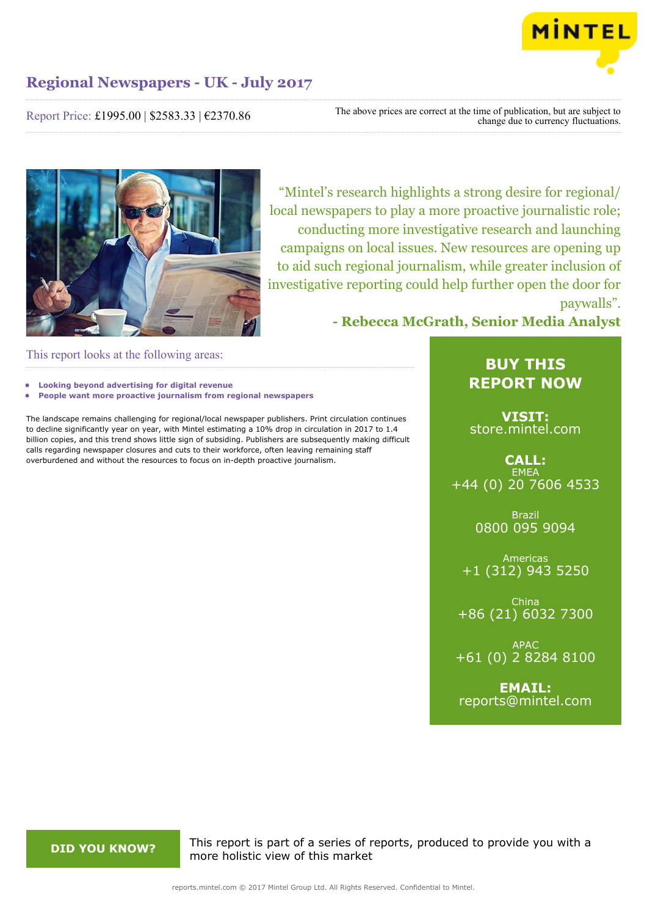

Report Price: £1995.00 | \$2583.33 | €2370.86

The above prices are correct at the time of publication, but are subject to change due to currency fluctuations.



"Mintel's research highlights a strong desire for regional/ local newspapers to play a more proactive journalistic role; conducting more investigative research and launching campaigns on local issues. New resources are opening up to aid such regional journalism, while greater inclusion of investigative reporting could help further open the door for paywalls".

**- Rebecca McGrath, Senior Media Analyst**

This report looks at the following areas:

- **• Looking beyond advertising for digital revenue**
- **• People want more proactive journalism from regional newspapers**

The landscape remains challenging for regional/local newspaper publishers. Print circulation continues to decline significantly year on year, with Mintel estimating a 10% drop in circulation in 2017 to 1.4 billion copies, and this trend shows little sign of subsiding. Publishers are subsequently making difficult calls regarding newspaper closures and cuts to their workforce, often leaving remaining staff overburdened and without the resources to focus on in-depth proactive journalism.

# **BUY THIS REPORT NOW**

**VISIT:** [store.mintel.com](http://reports.mintel.com//display/store/793409/)

**CALL: EMEA** +44 (0) 20 7606 4533

> Brazil 0800 095 9094

Americas +1 (312) 943 5250

China +86 (21) 6032 7300

APAC +61 (0) 2 8284 8100

**EMAIL:** [reports@mintel.com](mailto:reports@mintel.com)

**DID YOU KNOW?** This report is part of a series of reports, produced to provide you with a more holistic view of this market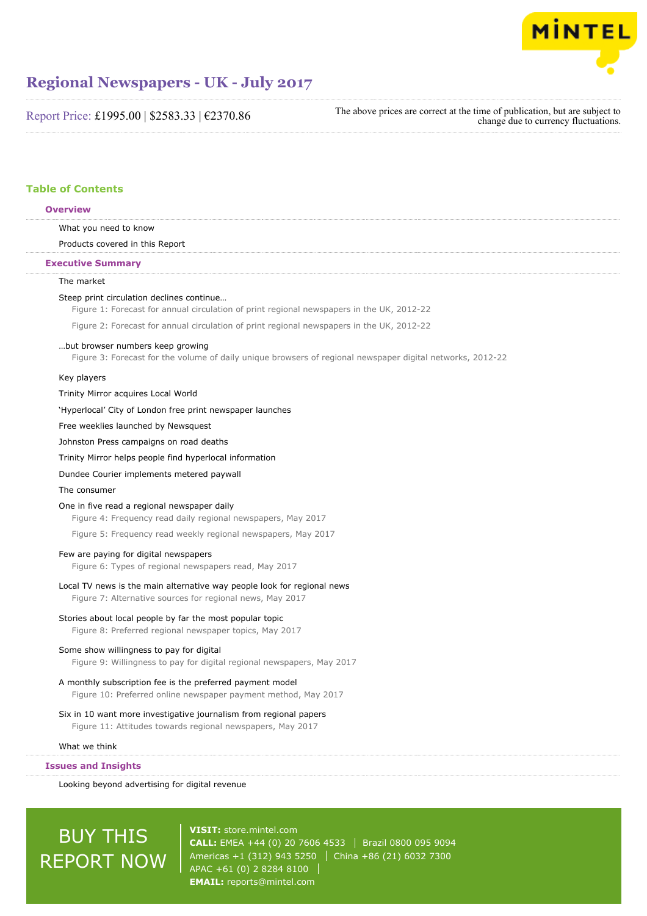

Report Price: £1995.00 | \$2583.33 | €2370.86

The above prices are correct at the time of publication, but are subject to change due to currency fluctuations.

# **Table of Contents**

| <b>Overview</b>                                                                                                                                |
|------------------------------------------------------------------------------------------------------------------------------------------------|
| What you need to know                                                                                                                          |
| Products covered in this Report                                                                                                                |
| <b>Executive Summary</b>                                                                                                                       |
| The market                                                                                                                                     |
| Steep print circulation declines continue<br>Figure 1: Forecast for annual circulation of print regional newspapers in the UK, 2012-22         |
| Figure 2: Forecast for annual circulation of print regional newspapers in the UK, 2012-22                                                      |
| but browser numbers keep growing<br>Figure 3: Forecast for the volume of daily unique browsers of regional newspaper digital networks, 2012-22 |
| Key players                                                                                                                                    |
| Trinity Mirror acquires Local World                                                                                                            |
| 'Hyperlocal' City of London free print newspaper launches                                                                                      |
| Free weeklies launched by Newsquest                                                                                                            |
| Johnston Press campaigns on road deaths                                                                                                        |
| Trinity Mirror helps people find hyperlocal information                                                                                        |
| Dundee Courier implements metered paywall                                                                                                      |
| The consumer                                                                                                                                   |
| One in five read a regional newspaper daily<br>Figure 4: Frequency read daily regional newspapers, May 2017                                    |
| Figure 5: Frequency read weekly regional newspapers, May 2017                                                                                  |
| Few are paying for digital newspapers<br>Figure 6: Types of regional newspapers read, May 2017                                                 |
| Local TV news is the main alternative way people look for regional news<br>Figure 7: Alternative sources for regional news, May 2017           |
| Stories about local people by far the most popular topic<br>Figure 8: Preferred regional newspaper topics, May 2017                            |
| Some show willingness to pay for digital<br>Figure 9: Willingness to pay for digital regional newspapers, May 2017                             |
| A monthly subscription fee is the preferred payment model<br>Figure 10: Preferred online newspaper payment method, May 2017                    |
| Six in 10 want more investigative journalism from regional papers<br>Figure 11: Attitudes towards regional newspapers, May 2017                |
| What we think                                                                                                                                  |
| <b>Issues and Insights</b>                                                                                                                     |
| Looking hevand advertising for digital revenue                                                                                                 |

Looking beyond advertising for digital revenue

# **BUY THIS** REPORT NOW

**VISIT:** [store.mintel.com](http://reports.mintel.com//display/store/793409/) **CALL:** EMEA +44 (0) 20 7606 4533 | Brazil 0800 095 9094 Americas +1 (312) 943 5250 China +86 (21) 6032 7300 APAC +61 (0) 2 8284 8100 **EMAIL:** [reports@mintel.com](mailto:reports@mintel.com)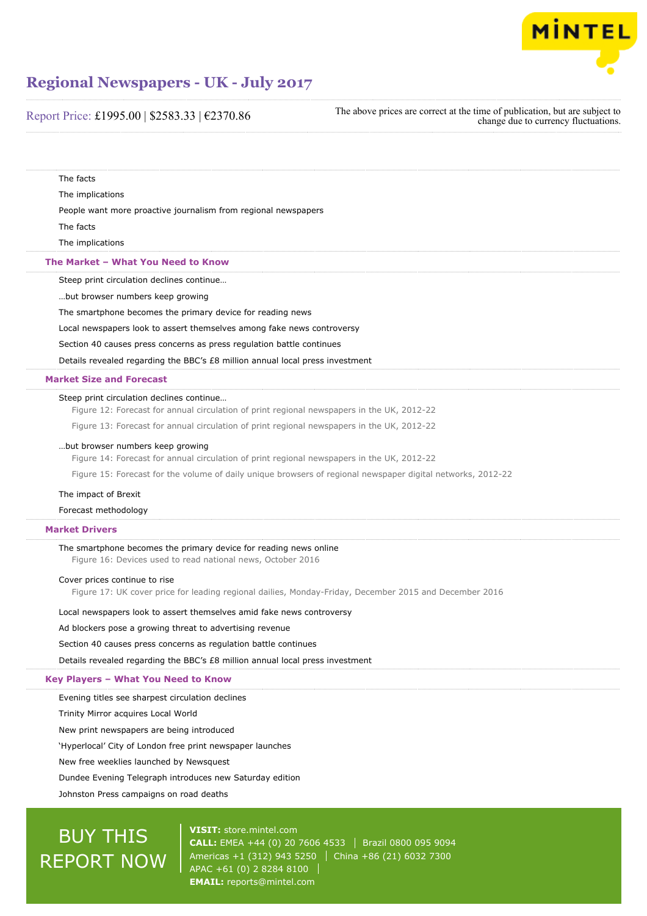

# Report Price: £1995.00 | \$2583.33 | €2370.86

The above prices are correct at the time of publication, but are subject to change due to currency fluctuations.

The facts The implications People want more proactive journalism from regional newspapers The facts The implications Steep print circulation declines continue… …but browser numbers keep growing The smartphone becomes the primary device for reading news Local newspapers look to assert themselves among fake news controversy Section 40 causes press concerns as press regulation battle continues Details revealed regarding the BBC's £8 million annual local press investment Steep print circulation declines continue… Figure 12: Forecast for annual circulation of print regional newspapers in the UK, 2012-22 Figure 13: Forecast for annual circulation of print regional newspapers in the UK, 2012-22 …but browser numbers keep growing Figure 14: Forecast for annual circulation of print regional newspapers in the UK, 2012-22 Figure 15: Forecast for the volume of daily unique browsers of regional newspaper digital networks, 2012-22 The impact of Brexit Forecast methodology The smartphone becomes the primary device for reading news online Figure 16: Devices used to read national news, October 2016 Cover prices continue to rise Figure 17: UK cover price for leading regional dailies, Monday-Friday, December 2015 and December 2016 Local newspapers look to assert themselves amid fake news controversy Ad blockers pose a growing threat to advertising revenue Section 40 causes press concerns as regulation battle continues Details revealed regarding the BBC's £8 million annual local press investment Evening titles see sharpest circulation declines Trinity Mirror acquires Local World New print newspapers are being introduced 'Hyperlocal' City of London free print newspaper launches New free weeklies launched by Newsquest Dundee Evening Telegraph introduces new Saturday edition Johnston Press campaigns on road deaths **The Market – What You Need to Know Market Size and Forecast Market Drivers Key Players – What You Need to Know**

# BUY THIS REPORT NOW

**VISIT:** [store.mintel.com](http://reports.mintel.com//display/store/793409/) **CALL:** EMEA +44 (0) 20 7606 4533 Brazil 0800 095 9094 Americas +1 (312) 943 5250 | China +86 (21) 6032 7300 APAC +61 (0) 2 8284 8100 **EMAIL:** [reports@mintel.com](mailto:reports@mintel.com)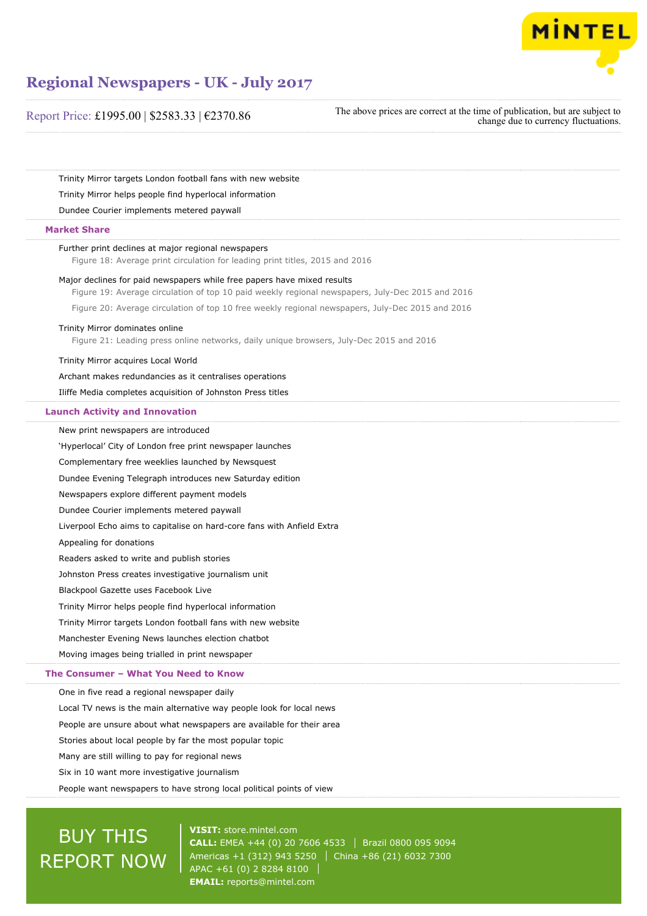

Report Price: £1995.00 | \$2583.33 | €2370.86

The above prices are correct at the time of publication, but are subject to change due to currency fluctuations.

Trinity Mirror targets London football fans with new website

Trinity Mirror helps people find hyperlocal information

Dundee Courier implements metered paywall

# **Market Share**

## Further print declines at major regional newspapers

Figure 18: Average print circulation for leading print titles, 2015 and 2016

Major declines for paid newspapers while free papers have mixed results

Figure 19: Average circulation of top 10 paid weekly regional newspapers, July-Dec 2015 and 2016

Figure 20: Average circulation of top 10 free weekly regional newspapers, July-Dec 2015 and 2016

### Trinity Mirror dominates online

Figure 21: Leading press online networks, daily unique browsers, July-Dec 2015 and 2016

Trinity Mirror acquires Local World

Archant makes redundancies as it centralises operations

Iliffe Media completes acquisition of Johnston Press titles

# **Launch Activity and Innovation**

New print newspapers are introduced 'Hyperlocal' City of London free print newspaper launches

Complementary free weeklies launched by Newsquest

Dundee Evening Telegraph introduces new Saturday edition

Newspapers explore different payment models

Dundee Courier implements metered paywall

Liverpool Echo aims to capitalise on hard-core fans with Anfield Extra

Appealing for donations

Readers asked to write and publish stories

Johnston Press creates investigative journalism unit

Blackpool Gazette uses Facebook Live

Trinity Mirror helps people find hyperlocal information

Trinity Mirror targets London football fans with new website

Manchester Evening News launches election chatbot

Moving images being trialled in print newspaper

## **The Consumer – What You Need to Know**

One in five read a regional newspaper daily

Local TV news is the main alternative way people look for local news

People are unsure about what newspapers are available for their area

Stories about local people by far the most popular topic

Many are still willing to pay for regional news

Six in 10 want more investigative journalism

People want newspapers to have strong local political points of view

# BUY THIS REPORT NOW

**VISIT:** [store.mintel.com](http://reports.mintel.com//display/store/793409/) **CALL:** EMEA +44 (0) 20 7606 4533 Brazil 0800 095 9094 Americas +1 (312) 943 5250 China +86 (21) 6032 7300 APAC +61 (0) 2 8284 8100 **EMAIL:** [reports@mintel.com](mailto:reports@mintel.com)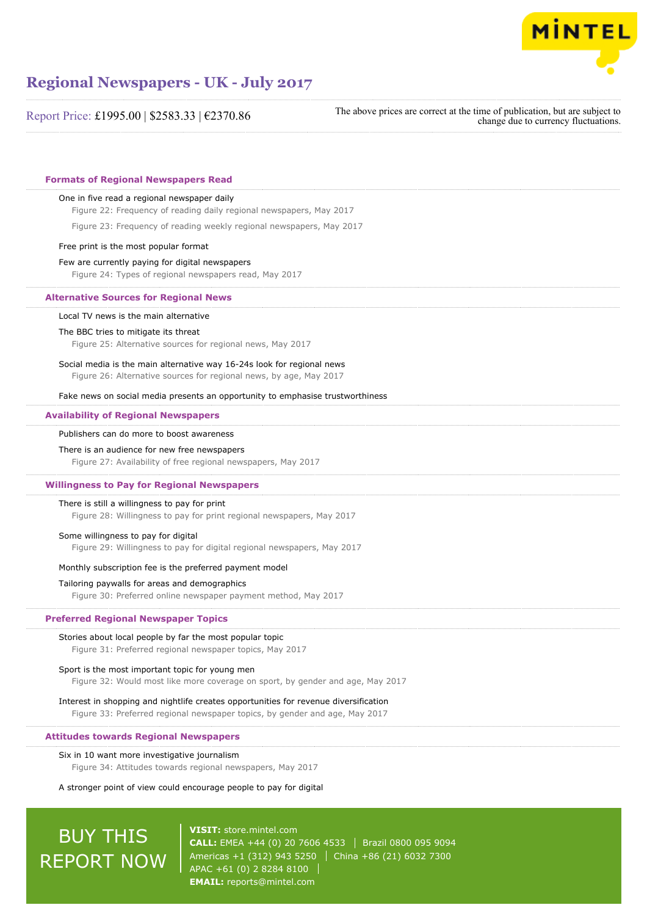

Report Price: £1995.00 | \$2583.33 | €2370.86

The above prices are correct at the time of publication, but are subject to change due to currency fluctuations.

# **Formats of Regional Newspapers Read**

### One in five read a regional newspaper daily

Figure 22: Frequency of reading daily regional newspapers, May 2017

Figure 23: Frequency of reading weekly regional newspapers, May 2017

## Free print is the most popular format

### Few are currently paying for digital newspapers

Figure 24: Types of regional newspapers read, May 2017

#### **Alternative Sources for Regional News**

### Local TV news is the main alternative

#### The BBC tries to mitigate its threat

Figure 25: Alternative sources for regional news, May 2017

# Social media is the main alternative way 16-24s look for regional news

Figure 26: Alternative sources for regional news, by age, May 2017

Fake news on social media presents an opportunity to emphasise trustworthiness

## **Availability of Regional Newspapers**

### Publishers can do more to boost awareness

#### There is an audience for new free newspapers

Figure 27: Availability of free regional newspapers, May 2017

#### **Willingness to Pay for Regional Newspapers**

### There is still a willingness to pay for print

Figure 28: Willingness to pay for print regional newspapers, May 2017

## Some willingness to pay for digital

Figure 29: Willingness to pay for digital regional newspapers, May 2017

## Monthly subscription fee is the preferred payment model

#### Tailoring paywalls for areas and demographics

Figure 30: Preferred online newspaper payment method, May 2017

## **Preferred Regional Newspaper Topics**

### Stories about local people by far the most popular topic

Figure 31: Preferred regional newspaper topics, May 2017

### Sport is the most important topic for young men

Figure 32: Would most like more coverage on sport, by gender and age, May 2017

# Interest in shopping and nightlife creates opportunities for revenue diversification Figure 33: Preferred regional newspaper topics, by gender and age, May 2017

# **Attitudes towards Regional Newspapers**

### Six in 10 want more investigative journalism

Figure 34: Attitudes towards regional newspapers, May 2017

# A stronger point of view could encourage people to pay for digital

# BUY THIS REPORT NOW

**VISIT:** [store.mintel.com](http://reports.mintel.com//display/store/793409/) **CALL:** EMEA +44 (0) 20 7606 4533 Brazil 0800 095 9094 Americas +1 (312) 943 5250 | China +86 (21) 6032 7300 APAC +61 (0) 2 8284 8100 **EMAIL:** [reports@mintel.com](mailto:reports@mintel.com)